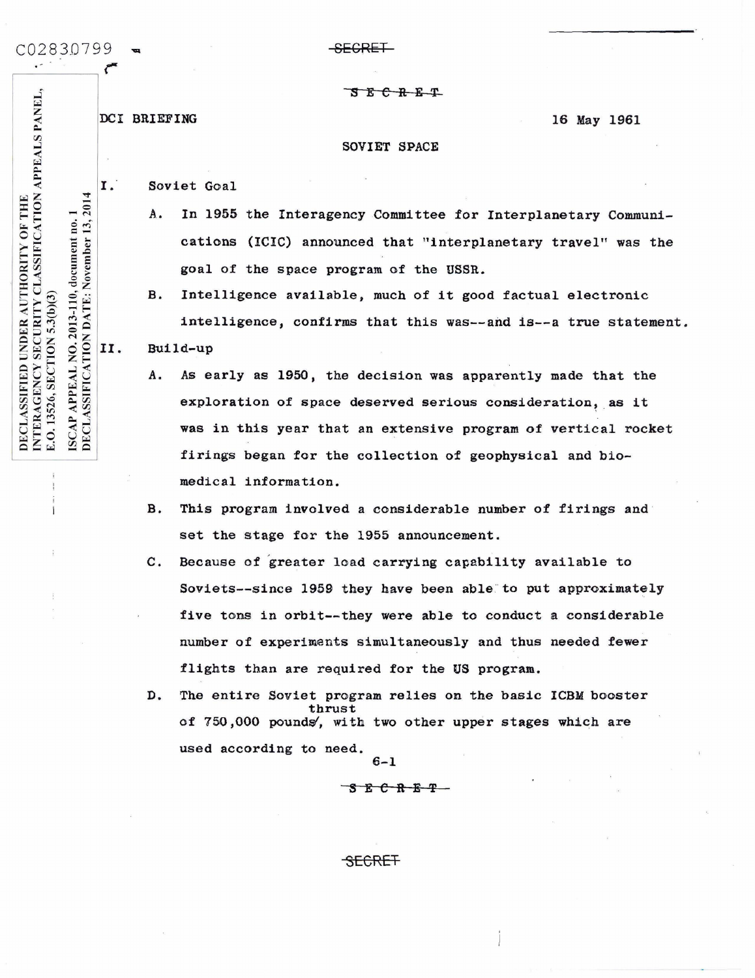C02830799

-SECRET

DCI BRIEFING

16 May 1961

## SOVIET SPACE

**SECRET** 

I. Soviet Goal

- In 1955 the Interagency Committee for Interplanetary Communi-A. cations (ICIC) announced that "interplanetary travel" was the goal of the space program of the USSR.
- Intelligence available, much of it good factual electronic **B.** intelligence, confirms that this was--and is--a true statement.

II. Build-up

- As early as 1950, the decision was apparently made that the A. exploration of space deserved serious consideration, as it was in this year that an extensive program of vertical rocket firings began for the collection of geophysical and biomedical information.
- **B.** This program involved a considerable number of firings and set the stage for the 1955 announcement.
- $\mathbf{c}$ . Because of greater load carrying capability available to Soviets--since 1959 they have been able to put approximately five tons in orbit--they were able to conduct a considerable number of experiments simultaneously and thus needed fewer flights than are required for the US program.
- D. The entire Soviet program relies on the basic ICBM booster thrust of 750,000 pounds, with two other upper stages which are used according to need.  $6 - 1$

 $S$   $E$   $C$   $R$   $E$   $T$   $-$ 

SECRET

INTERAGENCY SECURITY CLASSIFICATION APPEALS PANEL, DECLASSIFICATION DATE: November 13, 2014 DECLASSIFIED UNDER AUTHORITY OF THE  $\blacksquare$ NO. 2013-110, document no. E.O. 13526, SECTION 5.3(b)(3) **APPEAL** ISCAP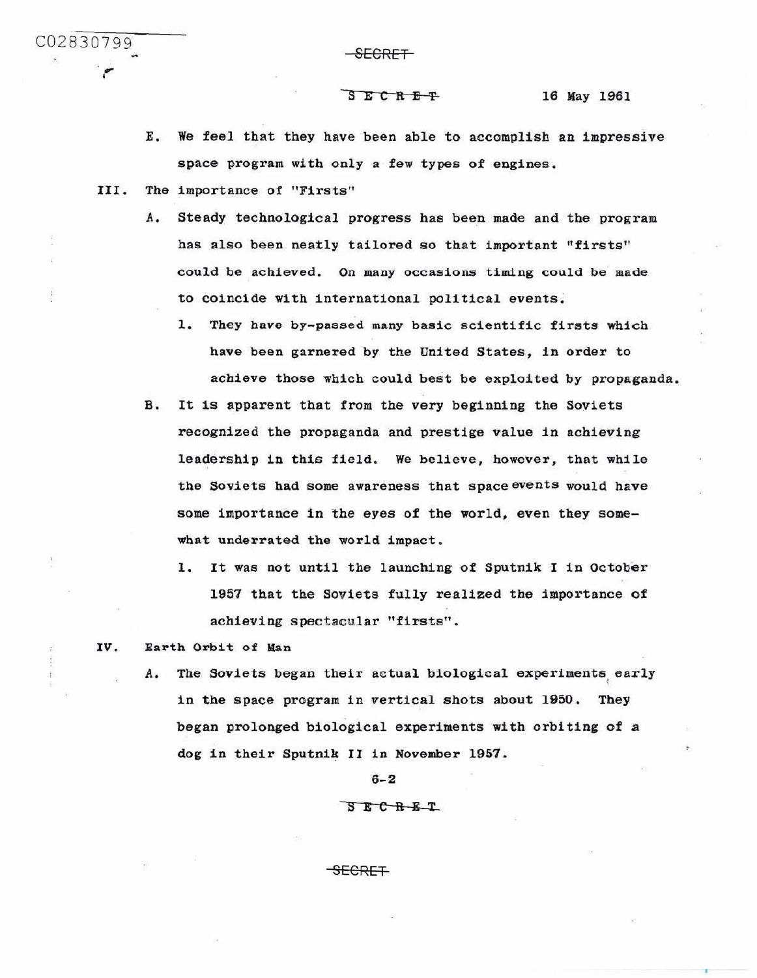$\frac{1}{2}$   $\frac{1}{2}$   $\frac{1}{2}$   $\frac{1}{2}$   $\frac{1}{2}$   $\frac{1}{2}$   $\frac{1}{2}$   $\frac{1}{2}$   $\frac{1}{2}$   $\frac{1}{2}$   $\frac{1}{2}$   $\frac{1}{2}$   $\frac{1}{2}$   $\frac{1}{2}$   $\frac{1}{2}$   $\frac{1}{2}$   $\frac{1}{2}$   $\frac{1}{2}$   $\frac{1}{2}$   $\frac{1}{2}$   $\frac{1}{2}$   $\frac{1}{2}$  r

S E C R E T

- E. We feel that they have been able to accomplish an impressive space program with only a few types of engines.
- III. The importance of "Firsts''
	- A. Steady technological progress has been made and the program has also been neatly tailored so that important "firsts" could be achieved. On many occasions timing could be made to coincide with international political events.
		- 1. They have by-passed many basic scientific firsts which have been garnered by the United States, in order to achieve those which could best be exploited by propaganda.
	- B. It is apparent that from the very beginning the Soviets recognized the propaganda and prestige value in achieving leadership in this field. we believe, however, that while the Soviets had some awareness that space events would have some importance in the eyes of the world, even they somewhat underrated the world impact.
		- l. It was not until the launching of Sputnik I in October 1957 that the Soviets fully realized the importance of achieving spectacular "firsts".
- IV. Earth Orbit of Man
	- A. The Soviets began their actual biological experiments early in the space program in vertical shots about 1950. They began prolonged biological experiments with orbiting of a dog in their Sputnik II in November 1957.

6-2

## $S$  $E$  $C$  $R$  $E$  $T$ .

SECRET